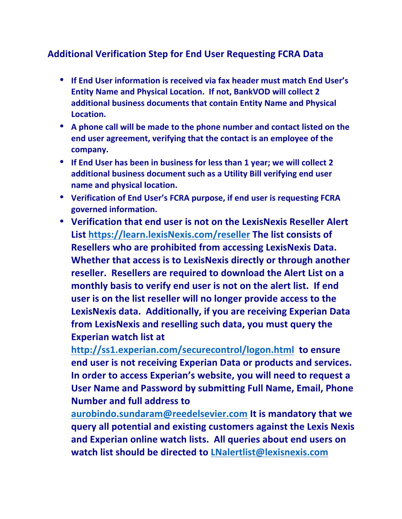## **Additional Verification Step for End User Requesting FCRA Data**

- If End User information is received via fax header must match End User's **Entity Name and Physical Location. If not, BankVOD will collect 2** additional business documents that contain Entity Name and Physical **Location.**
- A phone call will be made to the phone number and contact listed on the end user agreement, verifying that the contact is an employee of the **company.**
- If End User has been in business for less than 1 year; we will collect 2 additional business document such as a Utility Bill verifying end user **name and physical location.**
- Verification of End User's FCRA purpose, if end user is requesting FCRA governed information.
- Verification that end user is not on the LexisNexis Reseller Alert List https://learn.lexisNexis.com/reseller The list consists of **Resellers who are prohibited from accessing LexisNexis Data. Whether that access is to LexisNexis directly or through another** reseller. Resellers are required to download the Alert List on a monthly basis to verify end user is not on the alert list. If end user is on the list reseller will no longer provide access to the LexisNexis data. Additionally, if you are receiving Experian Data **from LexisNexis and reselling such data, you must query the Experian watch list at**

<http://ss1.experian.com/securecontrol/logon.html> to ensure **end user is not receiving Experian Data or products and services.** In order to access Experian's website, you will need to request a **User Name and Password by submitting Full Name, Email, Phone Number and full address to** 

[aurobindo.sundaram@reedelsevier.com](mailto:aurobindo.sundaram@reedelsevier.com) It is mandatory that we **query all potential and existing customers against the Lexis Nexis** and Experian online watch lists. All queries about end users on **watch list should be directed to [LNalertlist@lexisnexis.com](mailto:LNalertlist@lexisnexis.com)**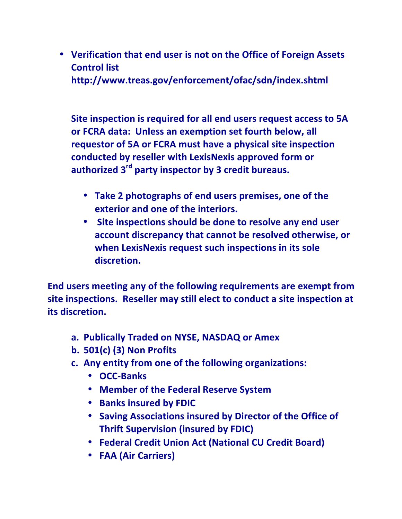• Verification that end user is not on the Office of Foreign Assets **Control list** http://www.treas.gov/enforcement/ofac/sdn/index.shtml

**Site inspection is required for all end users request access to 5A** or FCRA data: Unless an exemption set fourth below, all **requestor of 5A or FCRA must have a physical site inspection** conducted by reseller with LexisNexis approved form or authorized 3<sup>rd</sup> party inspector by 3 credit bureaus.

- Take 2 photographs of end users premises, one of the **exterior and one of the interiors.**
- Site inspections should be done to resolve any end user account discrepancy that cannot be resolved otherwise, or when LexisNexis request such inspections in its sole **discretion.**

**End users meeting any of the following requirements are exempt from** site inspections. Reseller may still elect to conduct a site inspection at **its discretion.**

- **a. Publically Traded on NYSE, NASDAQ or Amex**
- **b. 501(c) (3) Non Profits**
- **c.** Any entity from one of the following organizations:
	- **OCC-Banks**
	- **Member of the Federal Reserve System**
	- **Banks insured by FDIC**
	- Saving Associations insured by Director of the Office of **Thrift Supervision (insured by FDIC)**
	- **Federal Credit Union Act (National CU Credit Board)**
	- **FAA (Air Carriers)**